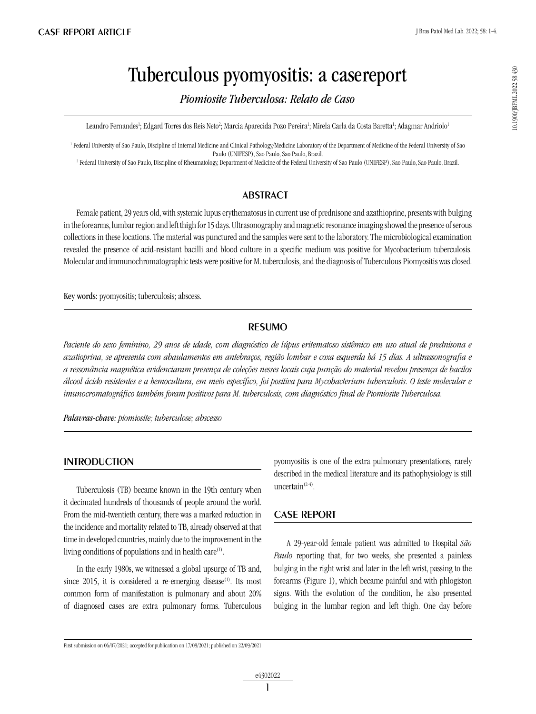10.1900/JBPML2022.58.430 10.1900/JBPML.2022.58.430

# Tuberculous pyomyositis: a casereport

*Piomiosite Tuberculosa: Relato de Caso*

Leandro Fernandes<sup>1</sup>; Edgard Torres dos Reis Neto<sup>2</sup>; Marcia Aparecida Pozo Pereira<sup>1</sup>; Mirela Carla da Costa Baretta<sup>1</sup>; Adagmar Andriolo<sup>1</sup>

1 Federal University of Sao Paulo, Discipline of Internal Medicine and Clinical Pathology/Medicine Laboratory of the Department of Medicine of the Federal University of Sao Paulo (UNIFESP), Sao Paulo, Sao Paulo, Brazil.

2 Federal University of Sao Paulo, Discipline of Rheumatology, Department of Medicine of the Federal University of Sao Paulo (UNIFESP), Sao Paulo, Sao Paulo, Brazil.

## **ABSTRACT**

Female patient, 29 years old, with systemic lupus erythematosus in current use of prednisone and azathioprine, presents with bulging in the forearms, lumbar region and left thigh for 15 days. Ultrasonography and magnetic resonance imaging showed the presence of serous collections in these locations. The material was punctured and the samples were sent to the laboratory. The microbiological examination revealed the presence of acid-resistant bacilli and blood culture in a specific medium was positive for Mycobacterium tuberculosis. Molecular and immunochromatographic tests were positive for M. tuberculosis, and the diagnosis of Tuberculous Piomyositis was closed.

Key words: pyomyositis; tuberculosis; abscess.

## resumo

*Paciente do sexo feminino, 29 anos de idade, com diagnóstico de lúpus eritematoso sistêmico em uso atual de prednisona e azatioprina, se apresenta com abaulamentos em antebraços, região lombar e coxa esquerda há 15 dias. A ultrassonografia e a ressonância magnética evidenciaram presença de coleções nesses locais cuja punção do material revelou presença de bacilos álcool ácido resistentes e a hemocultura, em meio específico, foi positiva para Mycobacterium tuberculosis. O teste molecular e imunocromatográfico também foram positivos para M. tuberculosis, com diagnóstico final de Piomiosite Tuberculosa.*

*Palavras-chave: piomiosite; tuberculose; abscesso*

## **INTRODUCTION**

Tuberculosis (TB) became known in the 19th century when it decimated hundreds of thousands of people around the world. From the mid-twentieth century, there was a marked reduction in the incidence and mortality related to TB, already observed at that time in developed countries, mainly due to the improvement in the living conditions of populations and in health care<sup>(1)</sup>.

In the early 1980s, we witnessed a global upsurge of TB and, since  $2015$ , it is considered a re-emerging disease<sup>(1)</sup>. Its most common form of manifestation is pulmonary and about 20% of diagnosed cases are extra pulmonary forms. Tuberculous pyomyositis is one of the extra pulmonary presentations, rarely described in the medical literature and its pathophysiology is still uncertain $(2-4)$ .

## CASE REPORT

A 29-year-old female patient was admitted to Hospital *São Paulo* reporting that, for two weeks, she presented a painless bulging in the right wrist and later in the left wrist, passing to the forearms (Figure 1), which became painful and with phlogiston signs. With the evolution of the condition, he also presented bulging in the lumbar region and left thigh. One day before

First submission on 06/07/2021; accepted for publication on 17/08/2021; published on 22/09/2021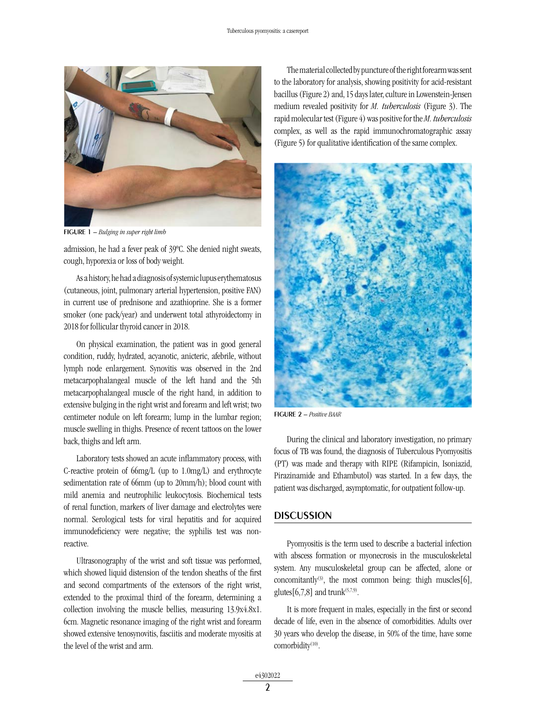

figurE 1 – *Bulging in super right limb* 

admission, he had a fever peak of 39ºC. She denied night sweats, cough, hyporexia or loss of body weight.

As a history, he had a diagnosis of systemic lupus erythematosus (cutaneous, joint, pulmonary arterial hypertension, positive FAN) in current use of prednisone and azathioprine. She is a former smoker (one pack/year) and underwent total athyroidectomy in 2018 for follicular thyroid cancer in 2018.

On physical examination, the patient was in good general condition, ruddy, hydrated, acyanotic, anicteric, afebrile, without lymph node enlargement. Synovitis was observed in the 2nd metacarpophalangeal muscle of the left hand and the 5th metacarpophalangeal muscle of the right hand, in addition to extensive bulging in the right wrist and forearm and left wrist; two centimeter nodule on left forearm; lump in the lumbar region; muscle swelling in thighs. Presence of recent tattoos on the lower back, thighs and left arm.

Laboratory tests showed an acute inflammatory process, with C-reactive protein of 66mg/L (up to 1.0mg/L) and erythrocyte sedimentation rate of 66mm (up to 20mm/h); blood count with mild anemia and neutrophilic leukocytosis. Biochemical tests of renal function, markers of liver damage and electrolytes were normal. Serological tests for viral hepatitis and for acquired immunodeficiency were negative; the syphilis test was nonreactive.

Ultrasonography of the wrist and soft tissue was performed, which showed liquid distension of the tendon sheaths of the first and second compartments of the extensors of the right wrist, extended to the proximal third of the forearm, determining a collection involving the muscle bellies, measuring 13.9x4.8x1. 6cm. Magnetic resonance imaging of the right wrist and forearm showed extensive tenosynovitis, fasciitis and moderate myositis at the level of the wrist and arm.

The material collected by puncture of the right forearm was sent to the laboratory for analysis, showing positivity for acid-resistant bacillus (Figure 2) and, 15 days later, culture in Lowenstein-Jensen medium revealed positivity for *M. tuberculosis* (Figure 3). The rapid molecular test (Figure 4) was positive for the *M. tuberculosis*  complex, as well as the rapid immunochromatographic assay (Figure 5) for qualitative identification of the same complex.



figure 2 – *Positive BAAR*

During the clinical and laboratory investigation, no primary focus of TB was found, the diagnosis of Tuberculous Pyomyositis (PT) was made and therapy with RIPE (Rifampicin, Isoniazid, Pirazinamide and Ethambutol) was started. In a few days, the patient was discharged, asymptomatic, for outpatient follow-up.

#### **DISCUSSION**

Pyomyositis is the term used to describe a bacterial infection with abscess formation or myonecrosis in the musculoskeletal system. Any musculoskeletal group can be affected, alone or concomitantly<sup>(3)</sup>, the most common being: thigh muscles[6], glutes  $[6,7,8]$  and trunk<sup> $(5,7,9)$ </sup>.

It is more frequent in males, especially in the first or second decade of life, even in the absence of comorbidities. Adults over 30 years who develop the disease, in 50% of the time, have some comorbidity<sup>(10)</sup>.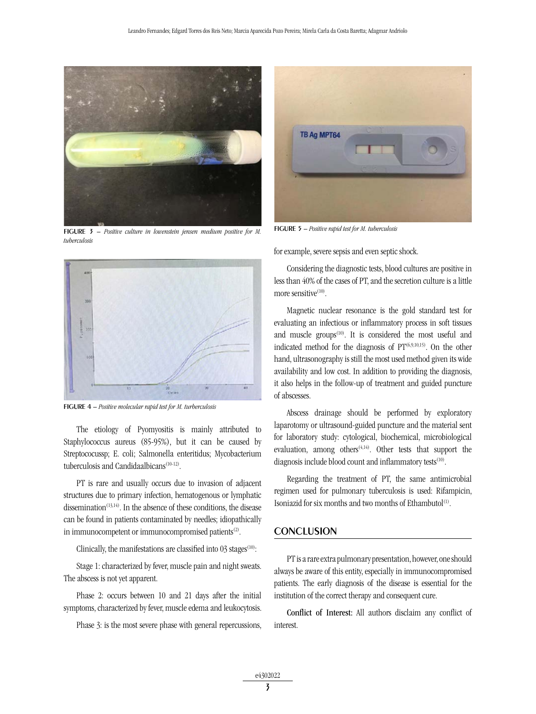

figure 3 – *Positive culture in lowenstein jensen medium positive for M. tuberculosis*



figure 4 – *Positive molecular rapid test for M. turberculosis*

The etiology of Pyomyositis is mainly attributed to Staphylococcus aureus (85-95%), but it can be caused by Streptococussp; E. coli; Salmonella enteritidus; Mycobacterium tuberculosis and Candidaalbicans<sup>(10-12)</sup>.

PT is rare and usually occurs due to invasion of adjacent structures due to primary infection, hematogenous or lymphatic dissemination<sup>(13,14)</sup>. In the absence of these conditions, the disease can be found in patients contaminated by needles; idiopathically in immunocompetent or immunocompromised patients $(2)$ .

Clinically, the manifestations are classified into  $03$  stages<sup> $(10)$ </sup>:

Stage 1: characterized by fever, muscle pain and night sweats. The abscess is not yet apparent.

Phase 2: occurs between 10 and 21 days after the initial symptoms, characterized by fever, muscle edema and leukocytosis.

Phase 3: is the most severe phase with general repercussions,



figure 5 – *Positive rapid test for M. tuberculosis*

for example, severe sepsis and even septic shock.

Considering the diagnostic tests, blood cultures are positive in less than 40% of the cases of PT, and the secretion culture is a little more sensitive $(10)$ .

Magnetic nuclear resonance is the gold standard test for evaluating an infectious or inflammatory process in soft tissues and muscle groups<sup>(10)</sup>. It is considered the most useful and indicated method for the diagnosis of  $PT^{(6,9,10,15)}$ . On the other hand, ultrasonography is still the most used method given its wide availability and low cost. In addition to providing the diagnosis, it also helps in the follow-up of treatment and guided puncture of abscesses.

Abscess drainage should be performed by exploratory laparotomy or ultrasound-guided puncture and the material sent for laboratory study: cytological, biochemical, microbiological evaluation, among others<sup> $(4,14)$ </sup>. Other tests that support the diagnosis include blood count and inflammatory tests<sup>(10)</sup>.

Regarding the treatment of PT, the same antimicrobial regimen used for pulmonary tuberculosis is used: Rifampicin, Isoniazid for six months and two months of Ethambutol<sup>(1)</sup>.

### **CONCLUSION**

PT is a rare extra pulmonary presentation, however, one should always be aware of this entity, especially in immunocompromised patients. The early diagnosis of the disease is essential for the institution of the correct therapy and consequent cure.

Conflict of Interest: All authors disclaim any conflict of interest.